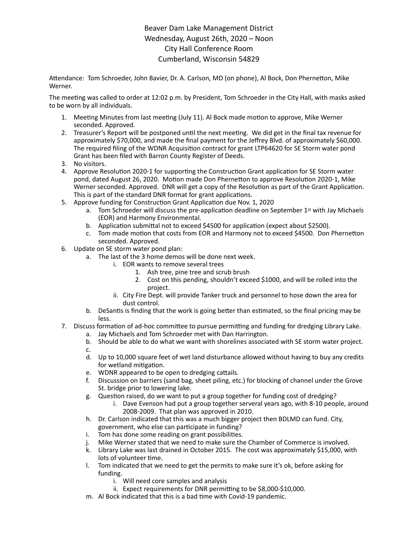## Beaver Dam Lake Management District Wednesday, August 26th, 2020 – Noon City Hall Conference Room Cumberland, Wisconsin 54829

Attendance: Tom Schroeder, John Bavier, Dr. A. Carlson, MD (on phone), Al Bock, Don Phernetton, Mike Werner.

The meeting was called to order at 12:02 p.m. by President, Tom Schroeder in the City Hall, with masks asked to be worn by all individuals.

- 1. Meeting Minutes from last meeting (July 11). Al Bock made motion to approve, Mike Werner seconded. Approved.
- 2. Treasurer's Report will be postponed until the next meeting. We did get in the final tax revenue for approximately \$70,000, and made the final payment for the Jeffrey Blvd. of approximately \$60,000. The required filing of the WDNR Acquisition contract for grant LTP64620 for SE Storm water pond Grant has been filed with Barron County Register of Deeds.
- 3. No visitors.
- 4. Approve Resolution 2020-1 for supporting the Construction Grant application for SE Storm water pond, dated August 26, 2020. Motion made Don Phernetton to approve Resolution 2020-1, Mike Werner seconded. Approved. DNR will get a copy of the Resolution as part of the Grant Application. This is part of the standard DNR format for grant applications.
- 5. Approve funding for Construction Grant Application due Nov. 1, 2020
	- a. Tom Schroeder will discuss the pre-application deadline on September  $1^{st}$  with Jay Michaels (EOR) and Harmony Environmental.
	- b. Application submittal not to exceed \$4500 for application (expect about \$2500).
	- c. Tom made motion that costs from EOR and Harmony not to exceed \$4500. Don Phernetton seconded. Approved.
- 6. Update on SE storm water pond plan:
	- a. The last of the 3 home demos will be done next week.
		- i. EOR wants to remove several trees
			- 1. Ash tree, pine tree and scrub brush
			- 2. Cost on this pending, shouldn't exceed \$1000, and will be rolled into the project.
		- ii. City Fire Dept. will provide Tanker truck and personnel to hose down the area for dust control.
	- b. DeSantis is finding that the work is going better than estimated, so the final pricing may be less.
- 7. Discuss formation of ad-hoc committee to pursue permitting and funding for dredging Library Lake. a. Jay Michaels and Tom Schroeder met with Dan Harrington.
	- b. Should be able to do what we want with shorelines associated with SE storm water project.
	- c.
	- d. Up to 10,000 square feet of wet land disturbance allowed without having to buy any credits for wetland mitigation.
	- e. WDNR appeared to be open to dredging cattails.
	- f. Discussion on barriers (sand bag, sheet piling, etc.) for blocking of channel under the Grove St. bridge prior to lowering lake.
	- g. Question raised, do we want to put a group together for funding cost of dredging?
		- i. Dave Evenson had put a group together serveral years ago, with 8-10 people, around 2008-2009. That plan was approved in 2010.
	- h. Dr. Carlson indicated that this was a much bigger project then BDLMD can fund. City, government, who else can participate in funding?
	- i. Tom has done some reading on grant possibilities.
	- j. Mike Werner stated that we need to make sure the Chamber of Commerce is involved.
	- k. Library Lake was last drained in October 2015. The cost was approximately \$15,000, with lots of volunteer time.
	- l. Tom indicated that we need to get the permits to make sure it's ok, before asking for funding.
		- i. Will need core samples and analysis
		- ii. Expect requirements for DNR permitting to be \$8,000-\$10,000.
	- m. Al Bock indicated that this is a bad time with Covid-19 pandemic.